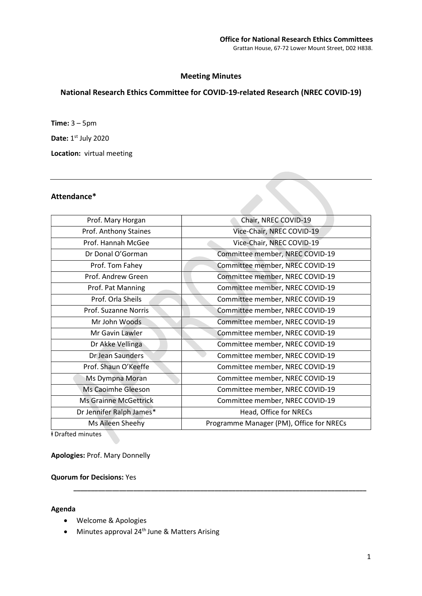# Meeting Minutes

# National Research Ethics Committee for COVID-19-related Research (NREC COVID-19)

**Time:**  $3 - 5$ pm Date: 1st July 2020 Location: virtual meeting

### Attendance\*

| Prof. Mary Horgan            | Chair, NREC COVID-19                     |
|------------------------------|------------------------------------------|
| Prof. Anthony Staines        | Vice-Chair, NREC COVID-19                |
| Prof. Hannah McGee           | Vice-Chair, NREC COVID-19                |
| Dr Donal O'Gorman            | Committee member, NREC COVID-19          |
| Prof. Tom Fahey              | Committee member, NREC COVID-19          |
| Prof. Andrew Green           | Committee member, NREC COVID-19          |
| Prof. Pat Manning            | Committee member, NREC COVID-19          |
| Prof. Orla Sheils            | Committee member, NREC COVID-19          |
| Prof. Suzanne Norris         | Committee member, NREC COVID-19          |
| Mr John Woods                | Committee member, NREC COVID-19          |
| Mr Gavin Lawler              | Committee member, NREC COVID-19          |
| Dr Akke Vellinga             | Committee member, NREC COVID-19          |
| Dr Jean Saunders             | Committee member, NREC COVID-19          |
| Prof. Shaun O'Keeffe         | Committee member, NREC COVID-19          |
| Ms Dympna Moran              | Committee member, NREC COVID-19          |
| Ms Caoimhe Gleeson           | Committee member, NREC COVID-19          |
| <b>Ms Grainne McGettrick</b> | Committee member, NREC COVID-19          |
| Dr Jennifer Ralph James*     | Head, Office for NRECs                   |
| Ms Aileen Sheehy             | Programme Manager (PM), Office for NRECs |

\_\_\_\_\_\_\_\_\_\_\_\_\_\_\_\_\_\_\_\_\_\_\_\_\_\_\_\_\_\_\_\_\_\_\_\_\_\_\_\_\_\_\_\_\_\_\_\_\_\_\_\_\_\_\_\_\_\_\_\_\_\_\_\_\_\_\_\_\_\_\_\_\_\_\_\_\_\_\_\_\_\_\_

ⱡ Drafted minutes

Apologies: Prof. Mary Donnelly

### Quorum for Decisions: Yes

#### Agenda

- Welcome & Apologies
- Minutes approval 24<sup>th</sup> June & Matters Arising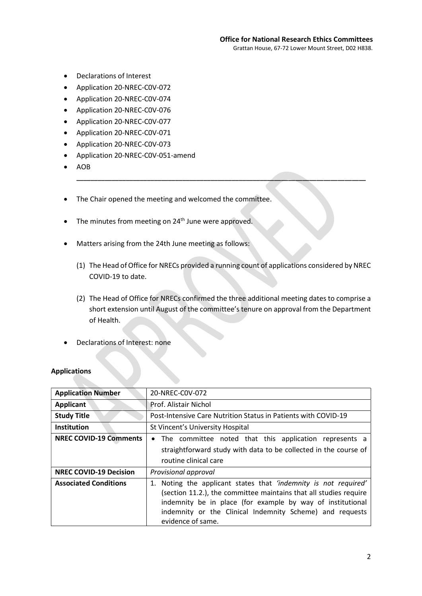- Declarations of Interest
- Application 20-NREC-C0V-072
- Application 20-NREC-C0V-074
- Application 20-NREC-C0V-076
- Application 20-NREC-C0V-077
- Application 20-NREC-C0V-071
- Application 20-NREC-C0V-073
- Application 20-NREC-C0V-051-amend
- AOB
- The Chair opened the meeting and welcomed the committee.
- $\bullet$  The minutes from meeting on 24<sup>th</sup> June were approved.
- Matters arising from the 24th June meeting as follows:
	- (1) The Head of Office for NRECs provided a running count of applications considered by NREC COVID-19 to date.

\_\_\_\_\_\_\_\_\_\_\_\_\_\_\_\_\_\_\_\_\_\_\_\_\_\_\_\_\_\_\_\_\_\_\_\_\_\_\_\_\_\_\_\_\_\_\_\_\_\_\_\_\_\_\_\_\_\_\_\_\_\_\_\_\_\_\_\_\_\_\_\_\_\_\_\_\_\_\_\_\_\_

- (2) The Head of Office for NRECs confirmed the three additional meeting dates to comprise a short extension until August of the committee's tenure on approval from the Department of Health.
- Declarations of Interest: none

# Applications

| <b>Application Number</b>     | 20-NREC-COV-072                                                                                                                                                                                                                                                                     |
|-------------------------------|-------------------------------------------------------------------------------------------------------------------------------------------------------------------------------------------------------------------------------------------------------------------------------------|
| <b>Applicant</b>              | <b>Prof. Alistair Nichol</b>                                                                                                                                                                                                                                                        |
| <b>Study Title</b>            | Post-Intensive Care Nutrition Status in Patients with COVID-19                                                                                                                                                                                                                      |
| <b>Institution</b>            | St Vincent's University Hospital                                                                                                                                                                                                                                                    |
| <b>NREC COVID-19 Comments</b> | The committee noted that this application represents a                                                                                                                                                                                                                              |
|                               | straightforward study with data to be collected in the course of                                                                                                                                                                                                                    |
|                               | routine clinical care                                                                                                                                                                                                                                                               |
| <b>NREC COVID-19 Decision</b> | Provisional approval                                                                                                                                                                                                                                                                |
| <b>Associated Conditions</b>  | 1. Noting the applicant states that 'indemnity is not required'<br>(section 11.2.), the committee maintains that all studies require<br>indemnity be in place (for example by way of institutional<br>indemnity or the Clinical Indemnity Scheme) and requests<br>evidence of same. |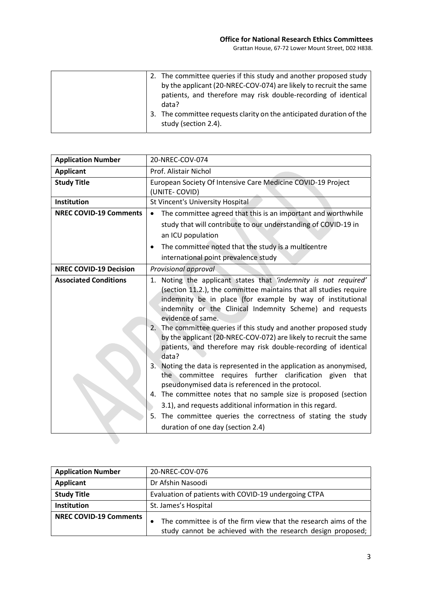| 2. The committee queries if this study and another proposed study<br>by the applicant (20-NREC-COV-074) are likely to recruit the same<br>patients, and therefore may risk double-recording of identical |
|----------------------------------------------------------------------------------------------------------------------------------------------------------------------------------------------------------|
| data?                                                                                                                                                                                                    |
| 3. The committee requests clarity on the anticipated duration of the<br>study (section 2.4).                                                                                                             |

| <b>Application Number</b>     | 20-NREC-COV-074                                                                                                                                                                                                                                                                                                                                                                                                                                                                                                                                                                                                                                                                                                                                                                                                                          |
|-------------------------------|------------------------------------------------------------------------------------------------------------------------------------------------------------------------------------------------------------------------------------------------------------------------------------------------------------------------------------------------------------------------------------------------------------------------------------------------------------------------------------------------------------------------------------------------------------------------------------------------------------------------------------------------------------------------------------------------------------------------------------------------------------------------------------------------------------------------------------------|
| <b>Applicant</b>              | Prof. Alistair Nichol                                                                                                                                                                                                                                                                                                                                                                                                                                                                                                                                                                                                                                                                                                                                                                                                                    |
| <b>Study Title</b>            | European Society Of Intensive Care Medicine COVID-19 Project<br>(UNITE-COVID)                                                                                                                                                                                                                                                                                                                                                                                                                                                                                                                                                                                                                                                                                                                                                            |
| <b>Institution</b>            | St Vincent's University Hospital                                                                                                                                                                                                                                                                                                                                                                                                                                                                                                                                                                                                                                                                                                                                                                                                         |
| <b>NREC COVID-19 Comments</b> | The committee agreed that this is an important and worthwhile<br>study that will contribute to our understanding of COVID-19 in<br>an ICU population<br>The committee noted that the study is a multicentre<br>٠                                                                                                                                                                                                                                                                                                                                                                                                                                                                                                                                                                                                                         |
|                               | international point prevalence study                                                                                                                                                                                                                                                                                                                                                                                                                                                                                                                                                                                                                                                                                                                                                                                                     |
| <b>NREC COVID-19 Decision</b> | Provisional approval                                                                                                                                                                                                                                                                                                                                                                                                                                                                                                                                                                                                                                                                                                                                                                                                                     |
| <b>Associated Conditions</b>  | 1. Noting the applicant states that 'indemnity is not required'<br>(section 11.2.), the committee maintains that all studies require<br>indemnity be in place (for example by way of institutional<br>indemnity or the Clinical Indemnity Scheme) and requests<br>evidence of same.<br>The committee queries if this study and another proposed study<br>2.<br>by the applicant (20-NREC-COV-072) are likely to recruit the same<br>patients, and therefore may risk double-recording of identical<br>data?<br>Noting the data is represented in the application as anonymised,<br>3.<br>the committee requires further clarification given<br>that<br>pseudonymised data is referenced in the protocol.<br>4. The committee notes that no sample size is proposed (section<br>3.1), and requests additional information in this regard. |
|                               | The committee queries the correctness of stating the study<br>5.<br>duration of one day (section 2.4)                                                                                                                                                                                                                                                                                                                                                                                                                                                                                                                                                                                                                                                                                                                                    |

| <b>Application Number</b>     | 20-NREC-COV-076                                                                                                                             |
|-------------------------------|---------------------------------------------------------------------------------------------------------------------------------------------|
| <b>Applicant</b>              | Dr Afshin Nasoodi                                                                                                                           |
| <b>Study Title</b>            | Evaluation of patients with COVID-19 undergoing CTPA                                                                                        |
| Institution                   | St. James's Hospital                                                                                                                        |
| <b>NREC COVID-19 Comments</b> | The committee is of the firm view that the research aims of the<br>$\bullet$<br>study cannot be achieved with the research design proposed; |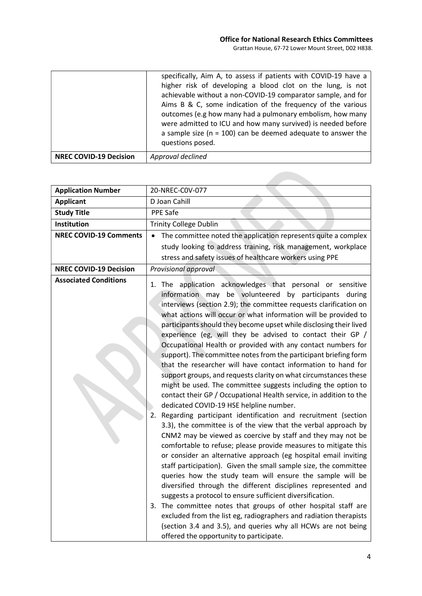|                               | specifically, Aim A, to assess if patients with COVID-19 have a<br>higher risk of developing a blood clot on the lung, is not<br>achievable without a non-COVID-19 comparator sample, and for<br>Aims B & C, some indication of the frequency of the various<br>outcomes (e.g how many had a pulmonary embolism, how many<br>were admitted to ICU and how many survived) is needed before<br>a sample size ( $n = 100$ ) can be deemed adequate to answer the<br>questions posed. |
|-------------------------------|-----------------------------------------------------------------------------------------------------------------------------------------------------------------------------------------------------------------------------------------------------------------------------------------------------------------------------------------------------------------------------------------------------------------------------------------------------------------------------------|
| <b>NREC COVID-19 Decision</b> | Approval declined                                                                                                                                                                                                                                                                                                                                                                                                                                                                 |

| <b>Application Number</b>     | 20-NREC-COV-077                                                                                                                                                                                                                                                                                                                                                                                                                                                                                                                                                                                                                                                                                                                                                                                                                                                                                                                                                                                                                                                                                                                                                                                                                                                                                                                                                                                                                                                                                                                                                                                                                                                                                                               |
|-------------------------------|-------------------------------------------------------------------------------------------------------------------------------------------------------------------------------------------------------------------------------------------------------------------------------------------------------------------------------------------------------------------------------------------------------------------------------------------------------------------------------------------------------------------------------------------------------------------------------------------------------------------------------------------------------------------------------------------------------------------------------------------------------------------------------------------------------------------------------------------------------------------------------------------------------------------------------------------------------------------------------------------------------------------------------------------------------------------------------------------------------------------------------------------------------------------------------------------------------------------------------------------------------------------------------------------------------------------------------------------------------------------------------------------------------------------------------------------------------------------------------------------------------------------------------------------------------------------------------------------------------------------------------------------------------------------------------------------------------------------------------|
| <b>Applicant</b>              | D Joan Cahill                                                                                                                                                                                                                                                                                                                                                                                                                                                                                                                                                                                                                                                                                                                                                                                                                                                                                                                                                                                                                                                                                                                                                                                                                                                                                                                                                                                                                                                                                                                                                                                                                                                                                                                 |
| <b>Study Title</b>            | PPE Safe                                                                                                                                                                                                                                                                                                                                                                                                                                                                                                                                                                                                                                                                                                                                                                                                                                                                                                                                                                                                                                                                                                                                                                                                                                                                                                                                                                                                                                                                                                                                                                                                                                                                                                                      |
| Institution                   | <b>Trinity College Dublin</b>                                                                                                                                                                                                                                                                                                                                                                                                                                                                                                                                                                                                                                                                                                                                                                                                                                                                                                                                                                                                                                                                                                                                                                                                                                                                                                                                                                                                                                                                                                                                                                                                                                                                                                 |
| <b>NREC COVID-19 Comments</b> | The committee noted the application represents quite a complex                                                                                                                                                                                                                                                                                                                                                                                                                                                                                                                                                                                                                                                                                                                                                                                                                                                                                                                                                                                                                                                                                                                                                                                                                                                                                                                                                                                                                                                                                                                                                                                                                                                                |
|                               | study looking to address training, risk management, workplace                                                                                                                                                                                                                                                                                                                                                                                                                                                                                                                                                                                                                                                                                                                                                                                                                                                                                                                                                                                                                                                                                                                                                                                                                                                                                                                                                                                                                                                                                                                                                                                                                                                                 |
|                               | stress and safety issues of healthcare workers using PPE                                                                                                                                                                                                                                                                                                                                                                                                                                                                                                                                                                                                                                                                                                                                                                                                                                                                                                                                                                                                                                                                                                                                                                                                                                                                                                                                                                                                                                                                                                                                                                                                                                                                      |
| <b>NREC COVID-19 Decision</b> | Provisional approval                                                                                                                                                                                                                                                                                                                                                                                                                                                                                                                                                                                                                                                                                                                                                                                                                                                                                                                                                                                                                                                                                                                                                                                                                                                                                                                                                                                                                                                                                                                                                                                                                                                                                                          |
| <b>Associated Conditions</b>  | 1. The application acknowledges that personal or sensitive<br>be volunteered by participants during<br>information may<br>interviews (section 2.9); the committee requests clarification on<br>what actions will occur or what information will be provided to<br>participants should they become upset while disclosing their lived<br>experience (eg, will they be advised to contact their GP /<br>Occupational Health or provided with any contact numbers for<br>support). The committee notes from the participant briefing form<br>that the researcher will have contact information to hand for<br>support groups, and requests clarity on what circumstances these<br>might be used. The committee suggests including the option to<br>contact their GP / Occupational Health service, in addition to the<br>dedicated COVID-19 HSE helpline number.<br>Regarding participant identification and recruitment (section<br>2.<br>3.3), the committee is of the view that the verbal approach by<br>CNM2 may be viewed as coercive by staff and they may not be<br>comfortable to refuse; please provide measures to mitigate this<br>or consider an alternative approach (eg hospital email inviting<br>staff participation). Given the small sample size, the committee<br>queries how the study team will ensure the sample will be<br>diversified through the different disciplines represented and<br>suggests a protocol to ensure sufficient diversification.<br>3. The committee notes that groups of other hospital staff are<br>excluded from the list eg, radiographers and radiation therapists<br>(section 3.4 and 3.5), and queries why all HCWs are not being<br>offered the opportunity to participate. |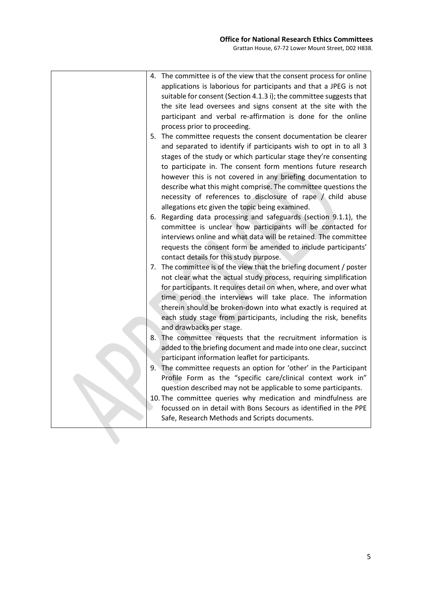|    | 4. The committee is of the view that the consent process for online                                                            |
|----|--------------------------------------------------------------------------------------------------------------------------------|
|    | applications is laborious for participants and that a JPEG is not                                                              |
|    | suitable for consent (Section 4.1.3 i); the committee suggests that                                                            |
|    | the site lead oversees and signs consent at the site with the                                                                  |
|    | participant and verbal re-affirmation is done for the online                                                                   |
|    | process prior to proceeding.                                                                                                   |
|    | 5. The committee requests the consent documentation be clearer                                                                 |
|    | and separated to identify if participants wish to opt in to all 3                                                              |
|    | stages of the study or which particular stage they're consenting                                                               |
|    | to participate in. The consent form mentions future research                                                                   |
|    | however this is not covered in any briefing documentation to                                                                   |
|    | describe what this might comprise. The committee questions the                                                                 |
|    | necessity of references to disclosure of rape / child abuse                                                                    |
|    | allegations etc given the topic being examined.                                                                                |
|    | 6. Regarding data processing and safeguards (section 9.1.1), the                                                               |
|    | committee is unclear how participants will be contacted for                                                                    |
|    | interviews online and what data will be retained. The committee                                                                |
|    | requests the consent form be amended to include participants'                                                                  |
|    | contact details for this study purpose.                                                                                        |
|    | 7. The committee is of the view that the briefing document / poster                                                            |
|    | not clear what the actual study process, requiring simplification                                                              |
|    | for participants. It requires detail on when, where, and over what                                                             |
|    | time period the interviews will take place. The information                                                                    |
|    | therein should be broken-down into what exactly is required at                                                                 |
|    | each study stage from participants, including the risk, benefits                                                               |
|    | and drawbacks per stage.                                                                                                       |
| 8. | The committee requests that the recruitment information is                                                                     |
|    | added to the briefing document and made into one clear, succinct                                                               |
|    | participant information leaflet for participants.                                                                              |
|    | 9. The committee requests an option for 'other' in the Participant                                                             |
|    | Profile Form as the "specific care/clinical context work in"                                                                   |
|    | question described may not be applicable to some participants.<br>10. The committee queries why medication and mindfulness are |
|    | focussed on in detail with Bons Secours as identified in the PPE                                                               |
|    | Safe, Research Methods and Scripts documents.                                                                                  |
|    |                                                                                                                                |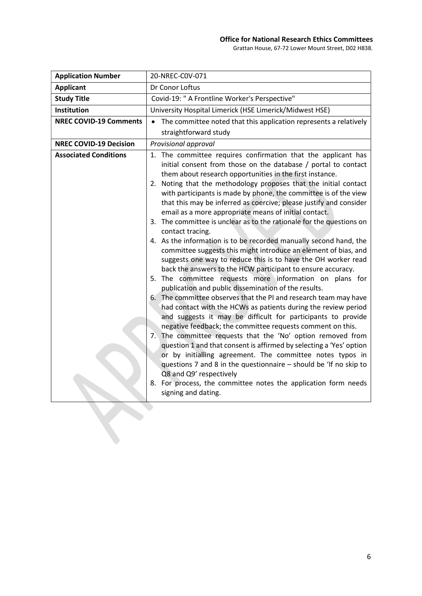### Office for National Research Ethics Committees

Grattan House, 67-72 Lower Mount Street, D02 H838.